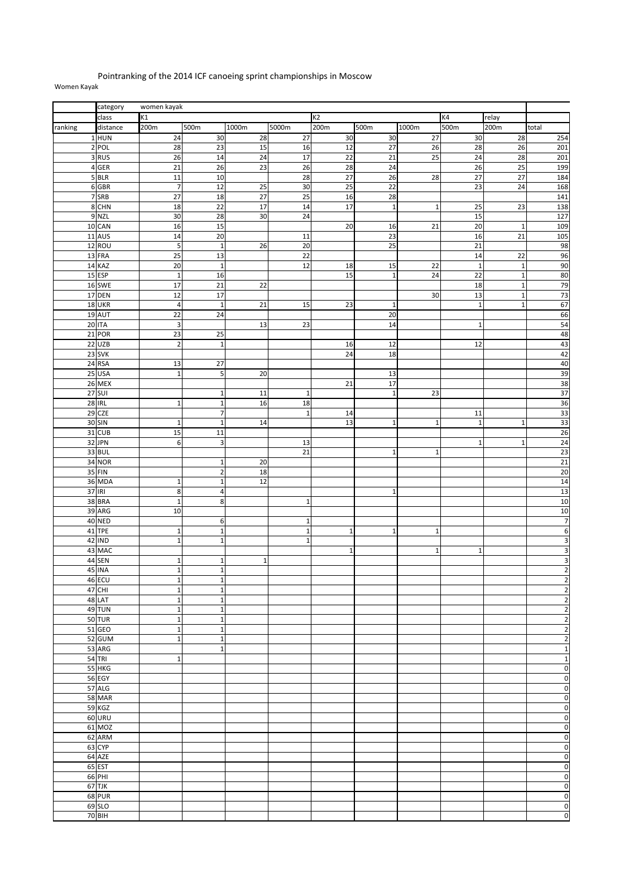## Pointranking of the 2014 ICF canoeing sprint championships in Moscow Women Kayak

|         | category<br>women kayak |                         |                  |                 |                 |                 |              |              |                 |                 |                         |
|---------|-------------------------|-------------------------|------------------|-----------------|-----------------|-----------------|--------------|--------------|-----------------|-----------------|-------------------------|
|         | class                   | K1                      |                  |                 |                 | K <sub>2</sub>  |              |              | K4              | relay           |                         |
| ranking | distance                | 200m                    | 500m             | 1000m           | 5000m           | 200m            | 500m         | 1000m        | 500m            | 200m            | total                   |
|         |                         |                         |                  |                 |                 |                 |              |              |                 |                 |                         |
|         | $1$ HUN                 | 24                      | 30               | 28              | $\overline{27}$ | 30              | 30           | 27           | 30              | 28              | 254                     |
|         | 2 POL                   | 28                      | 23               | 15              | 16              | 12              | 27           | 26           | 28              | 26              | 201                     |
|         | 3RUS                    | 26                      | 14               | 24              | 17              | 22              | 21           | 25           | 24              | 28              | 201                     |
|         | 4 GER                   | 21                      | 26               | $\overline{23}$ | 26              | 28              | 24           |              | 26              | 25              | 199                     |
|         | 5 BLR                   | $\overline{11}$         | 10               |                 | 28              | 27              | 26           | 28           | 27              | $\overline{27}$ | 184                     |
|         | 6 GBR                   | $\overline{7}$          | 12               | 25              | 30              | 25              | 22           |              | 23              | 24              | 168                     |
|         |                         |                         |                  |                 |                 |                 |              |              |                 |                 |                         |
|         | 7 SRB                   | 27                      | 18               | 27              | 25              | 16              | 28           |              |                 |                 | 141                     |
|         | 8 CHN                   | 18                      | $\overline{22}$  | 17              | 14              | $\overline{17}$ | $\mathbf 1$  | $\mathbf 1$  | 25              | 23              | 138                     |
|         | 9 NZL                   | $30\,$                  | 28               | 30              | 24              |                 |              |              | 15              |                 | 127                     |
|         | 10 CAN                  | 16                      | 15               |                 |                 | 20              | 16           | 21           | 20              | $\mathbf 1$     | 109                     |
|         | 11 AUS                  | 14                      | 20               |                 | 11              |                 | 23           |              | 16              | 21              | 105                     |
|         | 12 ROU                  | 5                       | $\mathbf 1$      | $\overline{26}$ | $\overline{20}$ |                 | 25           |              | $\overline{21}$ |                 | 98                      |
|         |                         |                         |                  |                 |                 |                 |              |              |                 |                 |                         |
|         | 13 FRA                  | $\overline{25}$         | 13               |                 | 22              |                 |              |              | 14              | 22              | 96                      |
|         | 14 KAZ                  | 20                      | $\mathbf{1}$     |                 | 12              | 18              | 15           | 22           | $\mathbf{1}$    | $\mathbf 1$     | 90                      |
|         | 15 ESP                  | $\mathbf 1$             | 16               |                 |                 | 15              | $\mathbf 1$  | 24           | 22              | $\mathbf 1$     | 80                      |
|         | 16 SWE                  | $\overline{17}$         | 21               | 22              |                 |                 |              |              | 18              | $\mathbf 1$     | 79                      |
|         | 17 DEN                  | 12                      | 17               |                 |                 |                 |              | 30           | 13              | $\mathbf 1$     | 73                      |
|         | 18 UKR                  | $\overline{\mathbf{r}}$ | $\overline{1}$   | 21              | 15              | 23              | $\mathbf{1}$ |              | $\mathbf{1}$    | $\mathbf 1$     | 67                      |
|         | 19 AUT                  |                         |                  |                 |                 |                 |              |              |                 |                 |                         |
|         |                         | $\overline{22}$         | 24               |                 |                 |                 | 20           |              |                 |                 | 66                      |
|         | <b>20 ITA</b>           | 3                       |                  | 13              | 23              |                 | 14           |              | $\mathbf{1}$    |                 | 54                      |
|         | 21 POR                  | 23                      | 25               |                 |                 |                 |              |              |                 |                 | 48                      |
|         | 22 UZB                  | $\overline{\mathbf{c}}$ | $\mathbf 1$      |                 |                 | 16              | 12           |              | 12              |                 | 43                      |
|         | 23 SVK                  |                         |                  |                 |                 | 24              | 18           |              |                 |                 | 42                      |
|         | 24 RSA                  | 13                      | 27               |                 |                 |                 |              |              |                 |                 | 40                      |
|         |                         |                         |                  |                 |                 |                 |              |              |                 |                 | 39                      |
|         | 25 USA                  | $\mathbf 1$             | 5                | 20              |                 |                 | 13           |              |                 |                 |                         |
|         | 26 MEX                  |                         |                  |                 |                 | 21              | 17           |              |                 |                 | $\overline{38}$         |
|         | 27 SUI                  |                         | $\mathbf 1$      | 11              | 1               |                 | 1            | 23           |                 |                 | 37                      |
|         | <b>28 IRL</b>           | $\mathbf 1$             | $\mathbf 1$      | 16              | 18              |                 |              |              |                 |                 | 36                      |
|         | 29 CZE                  |                         | $\overline{7}$   |                 | $\mathbf 1$     | 14              |              |              | 11              |                 | $\overline{33}$         |
|         | 30 SIN                  | $\mathbf 1$             | $\mathbf 1$      | 14              |                 | $13$            | $\mathbf{1}$ | $\mathbf{1}$ | $1\,$           | $\mathbf 1$     | $\overline{33}$         |
|         | 31 CUB                  | 15                      | 11               |                 |                 |                 |              |              |                 |                 |                         |
|         |                         |                         |                  |                 |                 |                 |              |              |                 |                 | 26                      |
|         | 32 JPN                  | 6                       | $\mathbf{3}$     |                 | 13              |                 |              |              | $\mathbf{1}$    | $\mathbf{1}$    | 24                      |
|         | 33 BUL                  |                         |                  |                 | 21              |                 | $\mathbf 1$  | $\mathbf 1$  |                 |                 | 23                      |
|         | 34 NOR                  |                         | $\mathbf{1}$     | 20              |                 |                 |              |              |                 |                 | 21                      |
|         | 35 FIN                  |                         | $\overline{2}$   | 18              |                 |                 |              |              |                 |                 | 20                      |
|         | 36 MDA                  | $\mathbf 1$             | $1\overline{ }$  | 12              |                 |                 |              |              |                 |                 | 14                      |
|         |                         |                         | $\overline{4}$   |                 |                 |                 |              |              |                 |                 |                         |
|         | 37 IRI                  | $\overline{\bf 8}$      |                  |                 |                 |                 | $\mathbf 1$  |              |                 |                 | 13                      |
|         | 38 BRA                  | $\mathbf 1$             | $\bf 8$          |                 | $\mathbf{1}$    |                 |              |              |                 |                 | 10                      |
|         | 39 ARG                  | $10\,$                  |                  |                 |                 |                 |              |              |                 |                 | 10                      |
|         | <b>40 NED</b>           |                         | $\boldsymbol{6}$ |                 | $\mathbf{1}$    |                 |              |              |                 |                 | $\overline{7}$          |
|         | 41 TPE                  | $\mathbf 1$             | $\mathbf 1$      |                 | $\mathbf{1}$    | $\mathbf 1$     | $\mathbf{1}$ | $\mathbf 1$  |                 |                 | $\overline{6}$          |
|         | <b>42 IND</b>           | $\mathbf 1$             | $\mathbf 1$      |                 | $\mathbf 1$     |                 |              |              |                 |                 | 3                       |
|         | 43 MAC                  |                         |                  |                 |                 | $\mathbf 1$     |              | $\mathbf 1$  | $\mathbf{1}$    |                 | 3                       |
|         |                         |                         |                  |                 |                 |                 |              |              |                 |                 |                         |
|         | <b>44 SEN</b>           | $\mathbf 1$             | $\mathbf 1$      | $\mathbf{1}$    |                 |                 |              |              |                 |                 | 3                       |
|         | <b>45 INA</b>           | $\mathbf 1$             | $1\overline{ }$  |                 |                 |                 |              |              |                 |                 | $\overline{\mathbf{c}}$ |
|         | 46 ECU                  | $\mathbf 1$             | $\mathbf{1}$     |                 |                 |                 |              |              |                 |                 | $\overline{2}$          |
|         | 47 CHI                  | $\overline{1}$          | $\mathbf 1$      |                 |                 |                 |              |              |                 |                 | $\overline{2}$          |
|         | 48 LAT                  | $\mathbf 1$             | $\mathbf 1$      |                 |                 |                 |              |              |                 |                 | $\overline{\mathbf{c}}$ |
|         | 49 TUN                  | $\mathbf 1$             | $\mathbf 1$      |                 |                 |                 |              |              |                 |                 | $\overline{\mathbf{c}}$ |
|         |                         |                         |                  |                 |                 |                 |              |              |                 |                 |                         |
|         | 50 TUR                  | $\mathbf 1$             | $\mathbf 1$      |                 |                 |                 |              |              |                 |                 | $\overline{\mathbf{c}}$ |
|         | 51 GEO                  | $\mathbf 1$             | $\mathbf{1}$     |                 |                 |                 |              |              |                 |                 | $\overline{\mathbf{c}}$ |
|         | 52 GUM                  | $\mathbf 1$             | $1\overline{ }$  |                 |                 |                 |              |              |                 |                 | $\overline{2}$          |
|         | 53 ARG                  |                         | $1\overline{ }$  |                 |                 |                 |              |              |                 |                 | $\mathbf 1$             |
|         | <b>54 TRI</b>           | $\mathbf 1$             |                  |                 |                 |                 |              |              |                 |                 | $\mathbf 1$             |
|         | 55 HKG                  |                         |                  |                 |                 |                 |              |              |                 |                 | $\overline{0}$          |
|         | <b>56 EGY</b>           |                         |                  |                 |                 |                 |              |              |                 |                 | $\pmb{0}$               |
|         |                         |                         |                  |                 |                 |                 |              |              |                 |                 |                         |
|         | 57 ALG                  |                         |                  |                 |                 |                 |              |              |                 |                 | $\mathbf 0$             |
|         | 58 MAR                  |                         |                  |                 |                 |                 |              |              |                 |                 | $\pmb{0}$               |
|         | 59 KGZ                  |                         |                  |                 |                 |                 |              |              |                 |                 | $\mathbf 0$             |
|         | <b>60 URU</b>           |                         |                  |                 |                 |                 |              |              |                 |                 | $\mathbf 0$             |
|         | 61 MOZ                  |                         |                  |                 |                 |                 |              |              |                 |                 | $\pmb{0}$               |
|         | 62 ARM                  |                         |                  |                 |                 |                 |              |              |                 |                 | $\mathbf{0}$            |
|         |                         |                         |                  |                 |                 |                 |              |              |                 |                 |                         |
|         | 63 CYP                  |                         |                  |                 |                 |                 |              |              |                 |                 | $\pmb{0}$               |
|         | 64 AZE                  |                         |                  |                 |                 |                 |              |              |                 |                 | $\overline{0}$          |
|         | 65 EST                  |                         |                  |                 |                 |                 |              |              |                 |                 | $\pmb{0}$               |
|         | 66 PHI                  |                         |                  |                 |                 |                 |              |              |                 |                 | $\overline{0}$          |
|         | 67 TJK                  |                         |                  |                 |                 |                 |              |              |                 |                 | $\pmb{0}$               |
|         | <b>68 PUR</b>           |                         |                  |                 |                 |                 |              |              |                 |                 | $\mathbf 0$             |
|         |                         |                         |                  |                 |                 |                 |              |              |                 |                 |                         |
|         | 69 SLO                  |                         |                  |                 |                 |                 |              |              |                 |                 | $\mathbf 0$             |
|         | <b>70 BIH</b>           |                         |                  |                 |                 |                 |              |              |                 |                 | $\overline{0}$          |